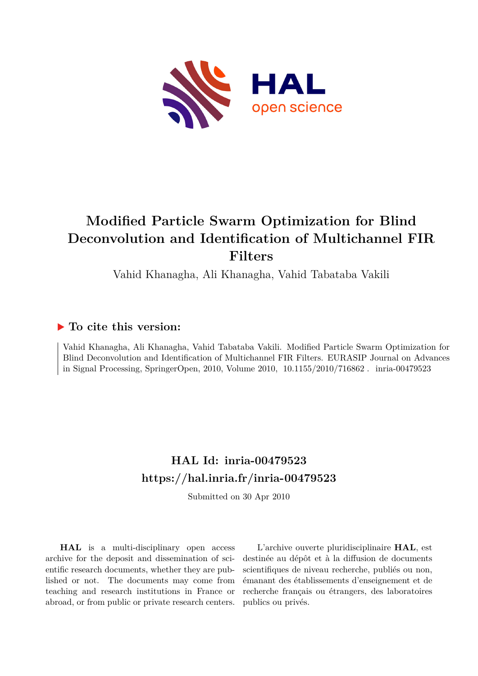

# **Modified Particle Swarm Optimization for Blind Deconvolution and Identification of Multichannel FIR Filters**

Vahid Khanagha, Ali Khanagha, Vahid Tabataba Vakili

### **To cite this version:**

Vahid Khanagha, Ali Khanagha, Vahid Tabataba Vakili. Modified Particle Swarm Optimization for Blind Deconvolution and Identification of Multichannel FIR Filters. EURASIP Journal on Advances in Signal Processing, SpringerOpen, 2010, Volume 2010,  $10.1155/2010/716862$ . inria-00479523

## **HAL Id: inria-00479523 <https://hal.inria.fr/inria-00479523>**

Submitted on 30 Apr 2010

**HAL** is a multi-disciplinary open access archive for the deposit and dissemination of scientific research documents, whether they are published or not. The documents may come from teaching and research institutions in France or abroad, or from public or private research centers.

L'archive ouverte pluridisciplinaire **HAL**, est destinée au dépôt et à la diffusion de documents scientifiques de niveau recherche, publiés ou non, émanant des établissements d'enseignement et de recherche français ou étrangers, des laboratoires publics ou privés.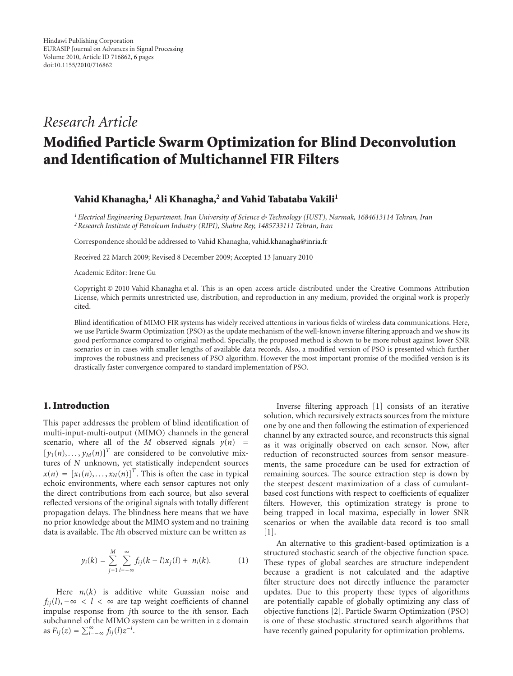### *Research Article*

## **Modified Particle Swarm Optimization for Blind Deconvolution and Identification of Multichannel FIR Filters**

#### **Vahid Khanagha,1 Ali Khanagha,2 and Vahid Tabataba Vakili1**

*1Electrical Engineering Department, Iran University of Science & Technology (IUST), Narmak, 1684613114 Tehran, Iran 2Research Institute of Petroleum Industry (RIPI), Shahre Rey, 1485733111 Tehran, Iran*

Correspondence should be addressed to Vahid Khanagha, vahid.khanagha@inria.fr

Received 22 March 2009; Revised 8 December 2009; Accepted 13 January 2010

Academic Editor: Irene Gu

Copyright © 2010 Vahid Khanagha et al. This is an open access article distributed under the Creative Commons Attribution License, which permits unrestricted use, distribution, and reproduction in any medium, provided the original work is properly cited.

Blind identification of MIMO FIR systems has widely received attentions in various fields of wireless data communications. Here, we use Particle Swarm Optimization (PSO) as the update mechanism of the well-known inverse filtering approach and we show its good performance compared to original method. Specially, the proposed method is shown to be more robust against lower SNR scenarios or in cases with smaller lengths of available data records. Also, a modified version of PSO is presented which further improves the robustness and preciseness of PSO algorithm. However the most important promise of the modified version is its drastically faster convergence compared to standard implementation of PSO.

#### **1. Introduction**

This paper addresses the problem of blind identification of multi-input-multi-output (MIMO) channels in the general scenario, where all of the *M* observed signals  $y(n)$  =  $[y_1(n), \ldots, y_M(n)]^T$  are considered to be convolutive mixtures of *N* unknown, yet statistically independent sources  $x(n) = [x_1(n), \ldots, x_N(n)]^T$ . This is often the case in typical echoic environments, where each sensor captures not only the direct contributions from each source, but also several reflected versions of the original signals with totally different propagation delays. The blindness here means that we have no prior knowledge about the MIMO system and no training data is available. The *i*th observed mixture can be written as

$$
y_i(k) = \sum_{j=1}^{M} \sum_{l=-\infty}^{\infty} f_{ij}(k-l)x_j(l) + n_i(k).
$$
 (1)

Here  $n_i(k)$  is additive white Guassian noise and  $f_{ij}(l)$ ,  $-\infty < l < \infty$  are tap weight coefficients of channel impulse response from *j*th source to the *i*th sensor. Each subchannel of the MIMO system can be written in *z* domain as  $F_{ij}(z) = \sum_{l=-\infty}^{\infty} f_{ij}(l) z^{-l}$ .

Inverse filtering approach [1] consists of an iterative solution, which recursively extracts sources from the mixture one by one and then following the estimation of experienced channel by any extracted source, and reconstructs this signal as it was originally observed on each sensor. Now, after reduction of reconstructed sources from sensor measurements, the same procedure can be used for extraction of remaining sources. The source extraction step is down by the steepest descent maximization of a class of cumulantbased cost functions with respect to coefficients of equalizer filters. However, this optimization strategy is prone to being trapped in local maxima, especially in lower SNR scenarios or when the available data record is too small [1].

An alternative to this gradient-based optimization is a structured stochastic search of the objective function space. These types of global searches are structure independent because a gradient is not calculated and the adaptive filter structure does not directly influence the parameter updates. Due to this property these types of algorithms are potentially capable of globally optimizing any class of objective functions [2]. Particle Swarm Optimization (PSO) is one of these stochastic structured search algorithms that have recently gained popularity for optimization problems.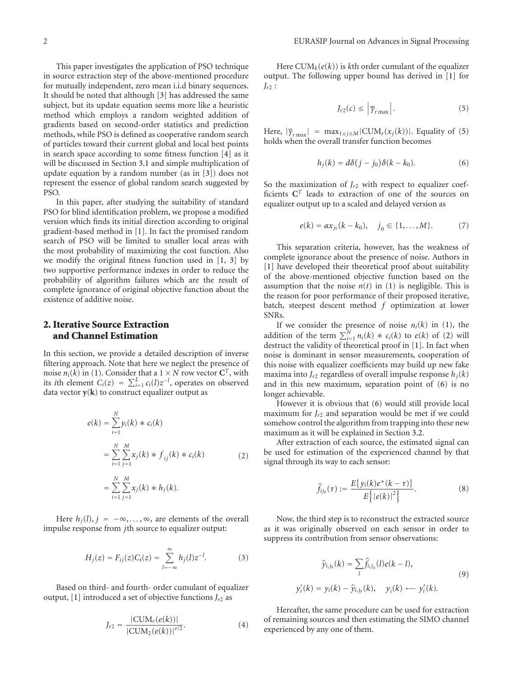This paper investigates the application of PSO technique in source extraction step of the above-mentioned procedure for mutually independent, zero mean i.i.d binary sequences. It should be noted that although [3] has addressed the same subject, but its update equation seems more like a heuristic method which employs a random weighted addition of gradients based on second-order statistics and prediction methods, while PSO is defined as cooperative random search of particles toward their current global and local best points in search space according to some fitness function [4] as it will be discussed in Section 3.1 and simple multiplication of

PSO. In this paper, after studying the suitability of standard PSO for blind identification problem, we propose a modified version which finds its initial direction according to original gradient-based method in [1]. In fact the promised random search of PSO will be limited to smaller local areas with the most probability of maximizing the cost function. Also we modify the original fitness function used in [1, 3] by two supportive performance indexes in order to reduce the probability of algorithm failures which are the result of complete ignorance of original objective function about the existence of additive noise.

update equation by a random number (as in [3]) does not represent the essence of global random search suggested by

#### **2. Iterative Source Extraction and Channel Estimation**

In this section, we provide a detailed description of inverse filtering approach. Note that here we neglect the presence of noise  $n_i(k)$  in (1). Consider that a  $1 \times N$  row vector  $C^T$ , with its *i*th element  $C_i(z) = \sum_{i=1}^{L} c_i(l)z^{-l}$ , operates on observed data vector  $y(k)$  to construct equalizer output as

$$
e(k) = \sum_{i=1}^{N} y_i(k) * c_i(k)
$$
  
= 
$$
\sum_{i=1}^{N} \sum_{j=1}^{M} x_j(k) * f_{ij}(k) * c_i(k)
$$
  
= 
$$
\sum_{i=1}^{N} \sum_{j=1}^{M} x_j(k) * h_j(k).
$$
 (2)

Here  $h_i(l)$ ,  $j = -\infty, \ldots, \infty$ , are elements of the overall impulse response from *j*th source to equalizer output:

$$
H_j(z) = F_{ij}(z)C_i(z) = \sum_{l = -\infty}^{\infty} h_j(l)z^{-l}.
$$
 (3)

Based on third- and fourth- order cumulant of equalizer output, [1] introduced a set of objective functions  $J_{r2}$  as

$$
J_{r2} = \frac{|\text{CUM}_r(e(k))|}{|\text{CUM}_2(e(k))|^{r/2}}.
$$
 (4)

Here  $\text{CUM}_k(e(k))$  is *k*th order cumulant of the equalizer output. The following upper bound has derived in [1] for *Jr*<sup>2</sup> :

$$
J_{r2}(c) \leq \left| \overline{\gamma}_{r\max} \right|.
$$
 (5)

Here,  $|\bar{\gamma}_{r \max}|$  = max<sub>1≤*j*≤*M*</sub> | CUM<sub>*r*</sub>( $x_j(k)$ )|. Equality of (5) holds when the overall transfer function becomes

$$
h_j(k) = d\delta(j - j_0)\delta(k - k_0). \tag{6}
$$

So the maximization of  $J_{r2}$  with respect to equalizer coefficients **C***<sup>T</sup>* leads to extraction of one of the sources on equalizer output up to a scaled and delayed version as

$$
e(k) = \alpha x_{j_0}(k - k_0), \quad j_0 \in \{1, ..., M\}.
$$
 (7)

This separation criteria, however, has the weakness of complete ignorance about the presence of noise. Authors in [1] have developed their theoretical proof about suitability of the above-mentioned objective function based on the assumption that the noise  $n(t)$  in (1) is negligible. This is the reason for poor performance of their proposed iterative, batch, steepest descent method *f* optimization at lower SNRs.

If we consider the presence of noise  $n_i(k)$  in (1), the addition of the term  $\sum_{i=1}^{N} n_i(k) * c_i(k)$  to  $e(k)$  of (2) will destruct the validity of theoretical proof in [1]. In fact when noise is dominant in sensor measurements, cooperation of this noise with equalizer coefficients may build up new fake maxima into  $J_{r2}$  regardless of overall impulse response  $h_i(k)$ and in this new maximum, separation point of (6) is no longer achievable.

However it is obvious that (6) would still provide local maximum for  $J_{r2}$  and separation would be met if we could somehow control the algorithm from trapping into these new maximum as it will be explained in Section 3.2.

After extraction of each source, the estimated signal can be used for estimation of the experienced channel by that signal through its way to each sensor:

$$
\hat{f}_{ij_0}(\tau) := \frac{E\{y_i(k)e^*(k-\tau)\}}{E\big\{|e(k)|^2\big\}}.
$$
\n(8)

Now, the third step is to reconstruct the extracted source as it was originally observed on each sensor in order to suppress its contribution from sensor observations:

$$
\hat{y}_{i,j_0}(k) = \sum_{l} \hat{f}_{i,j_0}(l)e(k-l),
$$
\n
$$
y'_i(k) = y_i(k) - \hat{y}_{i,j_0}(k), \quad y_i(k) \leftarrow y'_i(k).
$$
\n(9)

Hereafter, the same procedure can be used for extraction of remaining sources and then estimating the SIMO channel experienced by any one of them.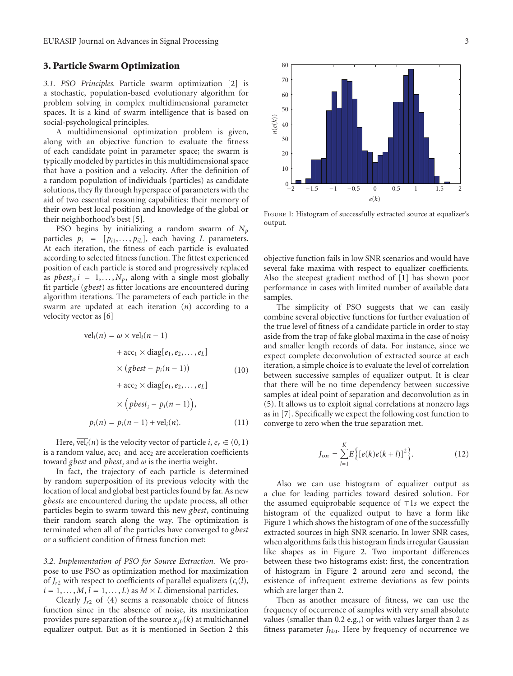#### **3. Particle Swarm Optimization**

*3.1. PSO Principles.* Particle swarm optimization [2] is a stochastic, population-based evolutionary algorithm for problem solving in complex multidimensional parameter spaces. It is a kind of swarm intelligence that is based on social-psychological principles.

A multidimensional optimization problem is given, along with an objective function to evaluate the fitness of each candidate point in parameter space; the swarm is typically modeled by particles in this multidimensional space that have a position and a velocity. After the definition of a random population of individuals (particles) as candidate solutions, they fly through hyperspace of parameters with the aid of two essential reasoning capabilities: their memory of their own best local position and knowledge of the global or their neighborhood's best [5].

PSO begins by initializing a random swarm of *Np* particles  $p_i = [p_{i1}, \ldots, p_{iL}]$ , each having *L* parameters. At each iteration, the fitness of each particle is evaluated according to selected fitness function. The fittest experienced position of each particle is stored and progressively replaced as  $pbest_i$ ,  $i = 1,..., N_p$ , along with a single most globally fit particle (*gbest*) as fitter locations are encountered during algorithm iterations. The parameters of each particle in the swarm are updated at each iteration (*n*) according to a velocity vector as [6]

$$
\overline{\text{vel}_i}(n) = \omega \times \overline{\text{vel}_i(n-1)}
$$
  
+  $\text{acc}_1 \times \text{diag}[e_1, e_2, \dots, e_L]$   
 $\times (gbest - p_i(n-1))$  (10)  
+  $\text{acc}_2 \times \text{diag}[e_1, e_2, \dots, e_L]$   
 $\times (pbest_i - p_i(n-1)),$ 

$$
p_i(n) = p_i(n-1) + \text{vel}_i(n). \tag{11}
$$

Here,  $\overline{vel_i}(n)$  is the velocity vector of particle *i*,  $e_r \in (0, 1)$ is a random value,  $acc_1$  and  $acc_2$  are acceleration coefficients toward *gbest* and *pbest*; and  $\omega$  is the inertia weight.

In fact, the trajectory of each particle is determined by random superposition of its previous velocity with the location of local and global best particles found by far. As new *gbests* are encountered during the update process, all other particles begin to swarm toward this new *gbest*, continuing their random search along the way. The optimization is terminated when all of the particles have converged to *gbest* or a sufficient condition of fitness function met:

*3.2. Implementation of PSO for Source Extraction.* We propose to use PSO as optimization method for maximization of  $J_{r2}$  with respect to coefficients of parallel equalizers  $(c_i(l))$ ,  $i = 1, \ldots, M, l = 1, \ldots, L$  as  $M \times L$  dimensional particles.

Clearly  $J_{r2}$  of (4) seems a reasonable choice of fitness function since in the absence of noise, its maximization provides pure separation of the source  $x_{i0}(k)$  at multichannel equalizer output. But as it is mentioned in Section 2 this



Figure 1: Histogram of successfully extracted source at equalizer's output.

−2 −1*.*5 −1 −0*.*50 0*.*51 1*.*5 2 *e*(*k*)

*n*(*e*(*k*))

objective function fails in low SNR scenarios and would have several fake maxima with respect to equalizer coefficients. Also the steepest gradient method of [1] has shown poor performance in cases with limited number of available data samples.

The simplicity of PSO suggests that we can easily combine several objective functions for further evaluation of the true level of fitness of a candidate particle in order to stay aside from the trap of fake global maxima in the case of noisy and smaller length records of data. For instance, since we expect complete deconvolution of extracted source at each iteration, a simple choice is to evaluate the level of correlation between successive samples of equalizer output. It is clear that there will be no time dependency between successive samples at ideal point of separation and deconvolution as in (5). It allows us to exploit signal correlations at nonzero lags as in [7]. Specifically we expect the following cost function to converge to zero when the true separation met.

$$
J_{\text{cor}} = \sum_{l=1}^{K} E\Big\{ [e(k)e(k+l)]^2 \Big\}.
$$
 (12)

Also we can use histogram of equalizer output as a clue for leading particles toward desired solution. For the assumed equiprobable sequence of ∓1*s* we expect the histogram of the equalized output to have a form like Figure 1 which shows the histogram of one of the successfully extracted sources in high SNR scenario. In lower SNR cases, when algorithms fails this histogram finds irregular Gaussian like shapes as in Figure 2. Two important differences between these two histograms exist: first, the concentration of histogram in Figure 2 around zero and second, the existence of infrequent extreme deviations as few points which are larger than 2.

Then as another measure of fitness, we can use the frequency of occurrence of samples with very small absolute values (smaller than 0.2 e.g.,) or with values larger than 2 as fitness parameter *J*hist. Here by frequency of occurrence we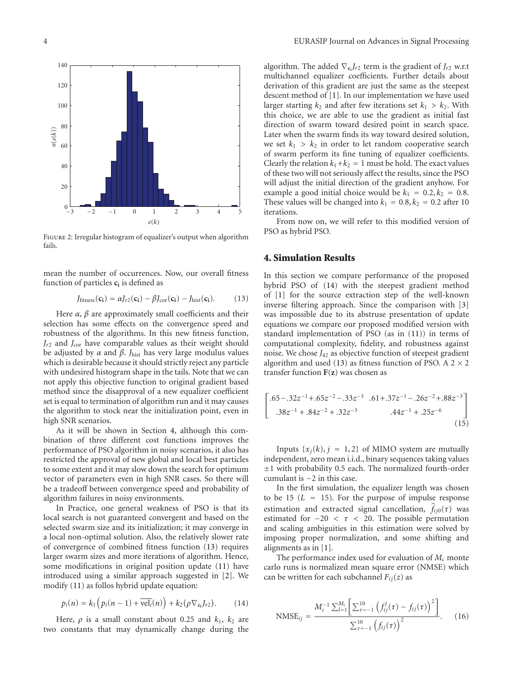

Figure 2: Irregular histogram of equalizer's output when algorithm fails.

mean the number of occurrences. Now, our overall fitness function of particles **ci** is defined as

$$
J_{\text{fitness}}(\mathbf{c_i}) = \alpha J_{r2}(\mathbf{c_i}) - \beta J_{\text{cor}}(\mathbf{c_i}) - J_{\text{hist}}(\mathbf{c_i}).
$$
 (13)

Here  $\alpha$ ,  $\beta$  are approximately small coefficients and their selection has some effects on the convergence speed and robustness of the algorithms. In this new fitness function,  $J_{r2}$  and  $J_{cor}$  have comparable values as their weight should be adjusted by *α* and *β*. *J*hist has very large modulus values which is desirable because it should strictly reject any particle with undesired histogram shape in the tails. Note that we can not apply this objective function to original gradient based method since the disapproval of a new equalizer coefficient set is equal to termination of algorithm run and it may causes the algorithm to stock near the initialization point, even in high SNR scenarios.

As it will be shown in Section 4, although this combination of three different cost functions improves the performance of PSO algorithm in noisy scenarios, it also has restricted the approval of new global and local best particles to some extent and it may slow down the search for optimum vector of parameters even in high SNR cases. So there will be a tradeoff between convergence speed and probability of algorithm failures in noisy environments.

In Practice, one general weakness of PSO is that its local search is not guaranteed convergent and based on the selected swarm size and its initialization; it may converge in a local non-optimal solution. Also, the relatively slower rate of convergence of combined fitness function (13) requires larger swarm sizes and more iterations of algorithm. Hence, some modifications in original position update (11) have introduced using a similar approach suggested in [2]. We modify (11) as follos hybrid update equation:

$$
p_i(n) = k_1 \left( p_i(n-1) + \overline{\text{vel}_i}(n) \right) + k_2 \left( \rho \nabla_{\mathbf{c}_i} J_{r2} \right). \tag{14}
$$

Here,  $\rho$  is a small constant about 0.25 and  $k_1$ ,  $k_2$  are two constants that may dynamically change during the algorithm. The added  $\nabla_{\mathbf{G}} J_{r2}$  term is the gradient of  $J_{r2}$  w.r.t multichannel equalizer coefficients. Further details about derivation of this gradient are just the same as the steepest descent method of [1]. In our implementation we have used larger starting  $k_2$  and after few iterations set  $k_1 > k_2$ . With this choice, we are able to use the gradient as initial fast direction of swarm toward desired point in search space. Later when the swarm finds its way toward desired solution, we set  $k_1 > k_2$  in order to let random cooperative search of swarm perform its fine tuning of equalizer coefficients. Clearly the relation  $k_1 + k_2 = 1$  must be hold. The exact values of these two will not seriously affect the results, since the PSO will adjust the initial direction of the gradient anyhow. For example a good initial choice would be  $k_1 = 0.2, k_2 = 0.8$ . These values will be changed into  $k_1 = 0.8, k_2 = 0.2$  after 10 iterations.

From now on, we will refer to this modified version of PSO as hybrid PSO.

#### **4. Simulation Results**

In this section we compare performance of the proposed hybrid PSO of (14) with the steepest gradient method of [1] for the source extraction step of the well-known inverse filtering approach. Since the comparison with [3] was impossible due to its abstruse presentation of update equations we compare our proposed modified version with standard implementation of PSO (as in (11)) in terms of computational complexity, fidelity, and robustness against noise. We chose  $J_{42}$  as objective function of steepest gradient algorithm and used (13) as fitness function of PSO. A  $2\times 2$ transfer function **F**(**z**) was chosen as

$$
\begin{bmatrix} .65-.32z^{-1}+.65z^{-2}-.33z^{-3} & .61+.37z^{-1}-.26z^{-2}+.88z^{-3} \\ .38z^{-1}+.84z^{-2}+.32z^{-3} & .44z^{-1}+.25z^{-6} \end{bmatrix}
$$
(15)

Inputs  $\{x_i(k), i = 1, 2\}$  of MIMO system are mutually independent, zero mean i.i.d., binary sequences taking values  $\pm 1$  with probability 0.5 each. The normalized fourth-order cumulant is −2 in this case.

In the first simulation, the equalizer length was chosen to be 15  $(L = 15)$ . For the purpose of impulse response estimation and extracted signal cancellation,  $f_{ij0}(\tau)$  was estimated for  $-20 < \tau < 20$ . The possible permutation and scaling ambiguities in this estimation were solved by imposing proper normalization, and some shifting and alignments as in [1].

The performance index used for evaluation of  $M_c$  monte carlo runs is normalized mean square error (NMSE) which can be written for each subchannel  $F_{ij}(z)$  as

$$
\text{NMSE}_{ij} = \frac{M_c^{-1} \sum_{l=1}^{M_c} \left[ \sum_{\tau=-1}^{10} \left( f_{ij}^l(\tau) - f_{ij}(\tau) \right)^2 \right]}{\sum_{\tau=-1}^{10} \left( f_{ij}(\tau) \right)^2}.
$$
 (16)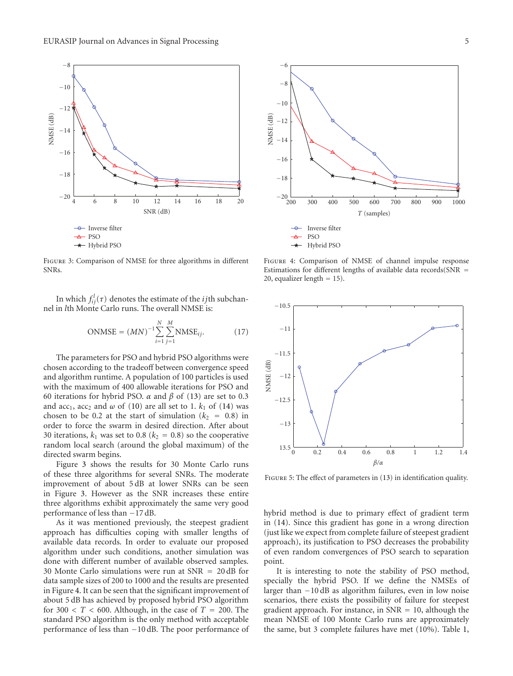

Figure 3: Comparison of NMSE for three algorithms in different SNRs.

In which  $f_{ij}^l(\tau)$  denotes the estimate of the *ij*th subchannel in *l*th Monte Carlo runs. The overall NMSE is:

$$
\text{ONMSE} = (MN)^{-1} \sum_{i=1}^{N} \sum_{j=1}^{M} \text{NMSE}_{ij}.
$$
 (17)

The parameters for PSO and hybrid PSO algorithms were chosen according to the tradeoff between convergence speed and algorithm runtime. A population of 100 particles is used with the maximum of 400 allowable iterations for PSO and 60 iterations for hybrid PSO. *α* and *β* of (13) are set to 0.3 and  $acc_1$ ,  $acc_2$  and  $\omega$  of (10) are all set to 1.  $k_1$  of (14) was chosen to be 0.2 at the start of simulation  $(k_2 = 0.8)$  in order to force the swarm in desired direction. After about 30 iterations,  $k_1$  was set to 0.8 ( $k_2 = 0.8$ ) so the cooperative random local search (around the global maximum) of the directed swarm begins.

Figure 3 shows the results for 30 Monte Carlo runs of these three algorithms for several SNRs. The moderate improvement of about 5 dB at lower SNRs can be seen in Figure 3. However as the SNR increases these entire three algorithms exhibit approximately the same very good performance of less than −17 dB.

As it was mentioned previously, the steepest gradient approach has difficulties coping with smaller lengths of available data records. In order to evaluate our proposed algorithm under such conditions, another simulation was done with different number of available observed samples. 30 Monte Carlo simulations were run at SNR = 20 dB for data sample sizes of 200 to 1000 and the results are presented in Figure 4. It can be seen that the significant improvement of about 5 dB has achieved by proposed hybrid PSO algorithm for 300  $\lt$  *T*  $\lt$  600. Although, in the case of *T* = 200. The standard PSO algorithm is the only method with acceptable performance of less than −10 dB. The poor performance of



Figure 4: Comparison of NMSE of channel impulse response Estimations for different lengths of available data records( $SNR =$ 20, equalizer length = 15).



FIGURE 5: The effect of parameters in (13) in identification quality.

hybrid method is due to primary effect of gradient term in (14). Since this gradient has gone in a wrong direction (just like we expect from complete failure of steepest gradient approach), its justification to PSO decreases the probability of even random convergences of PSO search to separation point.

It is interesting to note the stability of PSO method, specially the hybrid PSO. If we define the NMSEs of larger than −10 dB as algorithm failures, even in low noise scenarios, there exists the possibility of failure for steepest gradient approach. For instance, in  $SNR = 10$ , although the mean NMSE of 100 Monte Carlo runs are approximately the same, but 3 complete failures have met (10%). Table 1,